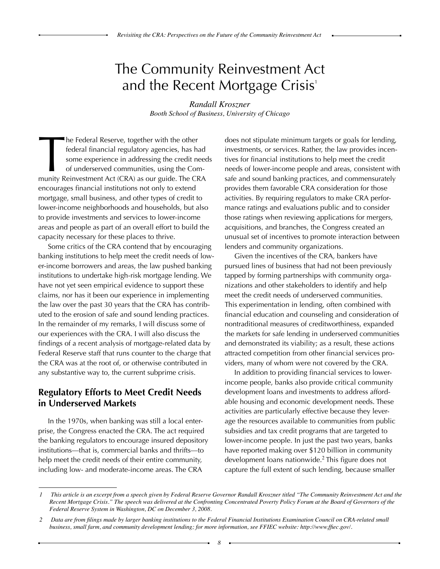## The Community Reinvestment Act and the Recent Mortgage Crisis'

*Randall Kroszner Booth School of Business, University of Chicago*

The Federal Reserve, together with the other<br>federal financial regulatory agencies, has had<br>some experience in addressing the credit need<br>of underserved communities, using the Com-<br>munity Reinvestment Act (CRA) as our guid he Federal Reserve, together with the other federal financial regulatory agencies, has had some experience in addressing the credit needs of underserved communities, using the Comencourages financial institutions not only to extend mortgage, small business, and other types of credit to lower-income neighborhoods and households, but also to provide investments and services to lower-income areas and people as part of an overall effort to build the capacity necessary for these places to thrive.

Some critics of the CRA contend that by encouraging banking institutions to help meet the credit needs of lower-income borrowers and areas, the law pushed banking institutions to undertake high-risk mortgage lending. We have not yet seen empirical evidence to support these claims, nor has it been our experience in implementing the law over the past 30 years that the CRA has contributed to the erosion of safe and sound lending practices. In the remainder of my remarks, I will discuss some of our experiences with the CRA. I will also discuss the findings of a recent analysis of mortgage-related data by Federal Reserve staff that runs counter to the charge that the CRA was at the root of, or otherwise contributed in any substantive way to, the current subprime crisis.

## **Regulatory Efforts to Meet Credit Needs in Underserved Markets**

In the 1970s, when banking was still a local enterprise, the Congress enacted the CRA. The act required the banking regulators to encourage insured depository institutions—that is, commercial banks and thrifts—to help meet the credit needs of their entire community, including low- and moderate-income areas. The CRA

does not stipulate minimum targets or goals for lending, investments, or services. Rather, the law provides incentives for financial institutions to help meet the credit needs of lower-income people and areas, consistent with safe and sound banking practices, and commensurately provides them favorable CRA consideration for those activities. By requiring regulators to make CRA performance ratings and evaluations public and to consider those ratings when reviewing applications for mergers, acquisitions, and branches, the Congress created an unusual set of incentives to promote interaction between lenders and community organizations.

Given the incentives of the CRA, bankers have pursued lines of business that had not been previously tapped by forming partnerships with community organizations and other stakeholders to identify and help meet the credit needs of underserved communities. This experimentation in lending, often combined with financial education and counseling and consideration of nontraditional measures of creditworthiness, expanded the markets for safe lending in underserved communities and demonstrated its viability; as a result, these actions attracted competition from other financial services providers, many of whom were not covered by the CRA.

In addition to providing financial services to lowerincome people, banks also provide critical community development loans and investments to address affordable housing and economic development needs. These activities are particularly effective because they leverage the resources available to communities from public subsidies and tax credit programs that are targeted to lower-income people. In just the past two years, banks have reported making over \$120 billion in community development loans nationwide.<sup>2</sup> This figure does not capture the full extent of such lending, because smaller

*<sup>1</sup> This article is an excerpt from a speech given by Federal Reserve Governor Randall Kroszner titled "The Community Reinvestment Act and the Recent Mortgage Crisis." The speech was delivered at the Confronting Concentrated Poverty Policy Forum at the Board of Governors of the Federal Reserve System in Washington, DC on December 3, 2008.*

<sup>2</sup> Data are from filings made by larger banking institutions to the Federal Financial Institutions Examination Council on CRA-related small *business, small farm, and community development lending; for more information, see FFIEC website: http://www.ffiec.gov/.*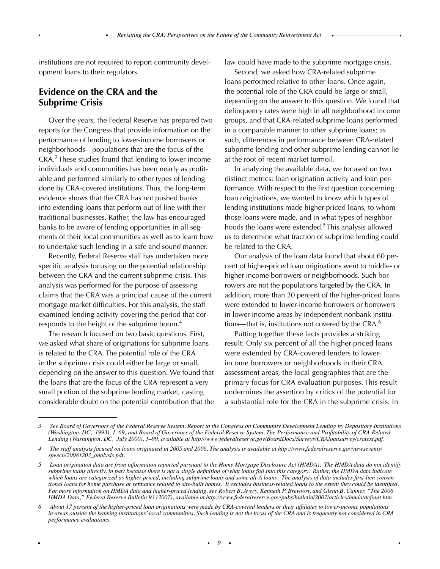institutions are not required to report community development loans to their regulators.

## **Evidence on the CRA and the Subprime Crisis**

Over the years, the Federal Reserve has prepared two reports for the Congress that provide information on the performance of lending to lower-income borrowers or neighborhoods—populations that are the focus of the CRA.<sup>3</sup> These studies found that lending to lower-income individuals and communities has been nearly as profitable and performed similarly to other types of lending done by CRA-covered institutions. Thus, the long-term evidence shows that the CRA has not pushed banks into extending loans that perform out of line with their traditional businesses. Rather, the law has encouraged banks to be aware of lending opportunities in all segments of their local communities as well as to learn how to undertake such lending in a safe and sound manner.

Recently, Federal Reserve staff has undertaken more specific analysis focusing on the potential relationship between the CRA and the current subprime crisis. This analysis was performed for the purpose of assessing claims that the CRA was a principal cause of the current mortgage market difficulties. For this analysis, the staff examined lending activity covering the period that corresponds to the height of the subprime boom.<sup>4</sup>

The research focused on two basic questions. First, we asked what share of originations for subprime loans is related to the CRA. The potential role of the CRA in the subprime crisis could either be large or small, depending on the answer to this question. We found that the loans that are the focus of the CRA represent a very small portion of the subprime lending market, casting considerable doubt on the potential contribution that the law could have made to the subprime mortgage crisis.

Second, we asked how CRA-related subprime loans performed relative to other loans. Once again, the potential role of the CRA could be large or small, depending on the answer to this question. We found that delinquency rates were high in all neighborhood income groups, and that CRA-related subprime loans performed in a comparable manner to other subprime loans; as such, differences in performance between CRA-related subprime lending and other subprime lending cannot lie at the root of recent market turmoil.

In analyzing the available data, we focused on two distinct metrics: loan origination activity and loan performance. With respect to the first question concerning loan originations, we wanted to know which types of lending institutions made higher-priced loans, to whom those loans were made, and in what types of neighborhoods the loans were extended.<sup>5</sup> This analysis allowed us to determine what fraction of subprime lending could be related to the CRA.

Our analysis of the loan data found that about 60 percent of higher-priced loan originations went to middle- or higher-income borrowers or neighborhoods. Such borrowers are not the populations targeted by the CRA. In addition, more than 20 percent of the higher-priced loans were extended to lower-income borrowers or borrowers in lower-income areas by independent nonbank institutions—that is, institutions not covered by the CRA.<sup>6</sup>

Putting together these facts provides a striking result: Only six percent of all the higher-priced loans were extended by CRA-covered lenders to lowerincome borrowers or neighborhoods in their CRA assessment areas, the local geographies that are the primary focus for CRA evaluation purposes. This result undermines the assertion by critics of the potential for a substantial role for the CRA in the subprime crisis. In

<sup>3</sup> See Board of Governors of the Federal Reserve System, Report to the Congress on Community Development Lending by Depository Institutions (Washington, DC, 1993), 1–69; and Board of Governors of the Federal Reserve System, The Performance and Profitability of CRA-Related *Lending (Washington, DC, July 2000), 1–99, available at http://www.federalreserve.gov/BoardDocs/Surveys/CRAloansurvey/cratext.pdf.*

The staff analysis focused on loans originated in 2005 and 2006. The analysis is available at http://www.federalreserve.gov/newsevents/ *speech/20081203\_analysis.pdf.*

*<sup>5</sup> Loan origination data are from information reported pursuant to the Home Mortgage Disclosure Act (HMDA). The HMDA data do not identify*  subprime loans directly, in part because there is not a single definition of what loans fall into this category. Rather, the HMDA data indicate which loans are categorized as higher priced, including subprime loans and some alt-A loans. The analysis of data includes first-lien conventional loans for home purchase or refinance related to site-built homes. It excludes business-related loans to the extent they could be identified. For more information on HMDA data and higher-priced lending, see Robert B. Avery, Kenneth P. Brevoort, and Glenn B. Canner, "The 2006 *HMDA Data," Federal Reserve Bulletin 93 (2007), available at http://www.federalreserve.gov/pubs/bulletin/2007/articles/hmda/default.htm.*

About 17 percent of the higher-priced loan originations were made by CRA-covered lenders or their affiliates to lower-income populations *in areas outside the banking institutions' local communities. Such lending is not the focus of the CRA and is frequently not considered in CRA performance evaluations.*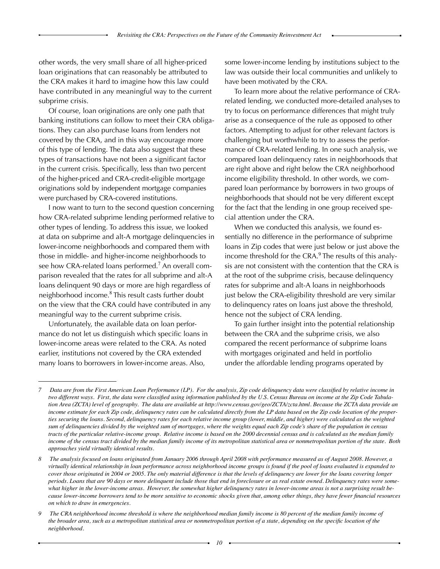other words, the very small share of all higher-priced loan originations that can reasonably be attributed to the CRA makes it hard to imagine how this law could have contributed in any meaningful way to the current subprime crisis.

Of course, loan originations are only one path that banking institutions can follow to meet their CRA obligations. They can also purchase loans from lenders not covered by the CRA, and in this way encourage more of this type of lending. The data also suggest that these types of transactions have not been a significant factor in the current crisis. Specifically, less than two percent of the higher-priced and CRA-credit-eligible mortgage originations sold by independent mortgage companies were purchased by CRA-covered institutions.

I now want to turn to the second question concerning how CRA-related subprime lending performed relative to other types of lending. To address this issue, we looked at data on subprime and alt-A mortgage delinquencies in lower-income neighborhoods and compared them with those in middle- and higher-income neighborhoods to see how CRA-related loans performed.<sup>7</sup> An overall comparison revealed that the rates for all subprime and alt-A loans delinquent 90 days or more are high regardless of neighborhood income.<sup>8</sup> This result casts further doubt on the view that the CRA could have contributed in any meaningful way to the current subprime crisis.

Unfortunately, the available data on loan performance do not let us distinguish which specific loans in lower-income areas were related to the CRA. As noted earlier, institutions not covered by the CRA extended many loans to borrowers in lower-income areas. Also,

some lower-income lending by institutions subject to the law was outside their local communities and unlikely to have been motivated by the CRA.

To learn more about the relative performance of CRArelated lending, we conducted more-detailed analyses to try to focus on performance differences that might truly arise as a consequence of the rule as opposed to other factors. Attempting to adjust for other relevant factors is challenging but worthwhile to try to assess the performance of CRA-related lending. In one such analysis, we compared loan delinquency rates in neighborhoods that are right above and right below the CRA neighborhood income eligibility threshold. In other words, we compared loan performance by borrowers in two groups of neighborhoods that should not be very different except for the fact that the lending in one group received special attention under the CRA.

When we conducted this analysis, we found essentially no difference in the performance of subprime loans in Zip codes that were just below or just above the income threshold for the CRA.<sup>9</sup> The results of this analysis are not consistent with the contention that the CRA is at the root of the subprime crisis, because delinquency rates for subprime and alt-A loans in neighborhoods just below the CRA-eligibility threshold are very similar to delinquency rates on loans just above the threshold, hence not the subject of CRA lending.

To gain further insight into the potential relationship between the CRA and the subprime crisis, we also compared the recent performance of subprime loans with mortgages originated and held in portfolio under the affordable lending programs operated by

<sup>7</sup> Data are from the First American Loan Performance (LP). For the analysis, Zip code delinquency data were classified by relative income in two different ways. First, the data were classified using information published by the U.S. Census Bureau on income at the Zip Code Tabulation Area (ZCTA) level of geography. The data are available at http://www.census.gov/geo/ZCTA/zcta.html. Because the ZCTA data provide an *income estimate for each Zip code, delinquency rates can be calculated directly from the LP data based on the Zip code location of the properties securing the loans. Second, delinquency rates for each relative income group (lower, middle, and higher) were calculated as the weighted sum of delinquencies divided by the weighted sum of mortgages, where the weights equal each Zip code's share of the population in census*  tracts of the particular relative-income group. Relative income is based on the 2000 decennial census and is calculated as the median family *income of the census tract divided by the median family income of its metropolitan statistical area or nonmetropolitan portion of the state. Both approaches yield virtually identical results.*

*<sup>8</sup> The analysis focused on loans originated from January 2006 through April 2008 with performance measured as of August 2008. However, a virtually identical relationship in loan performance across neighborhood income groups is found if the pool of loans evaluated is expanded to cover those originated in 2004 or 2005. The only material difference is that the levels of delinquency are lower for the loans covering longer periods. Loans that are 90 days or more delinquent include those that end in foreclosure or as real estate owned. Delinquency rates were some*what higher in the lower-income areas. However, the somewhat higher delinquency rates in lower-income areas is not a surprising result because lower-income borrowers tend to be more sensitive to economic shocks given that, among other things, they have fewer financial resources *on which to draw in emergencies.*

*<sup>9</sup>* The CRA neighborhood income threshold is where the neighborhood median family income is 80 percent of the median family income of the broader area, such as a metropolitan statistical area or nonmetropolitan portion of a state, depending on the specific location of the *neighborhood.*